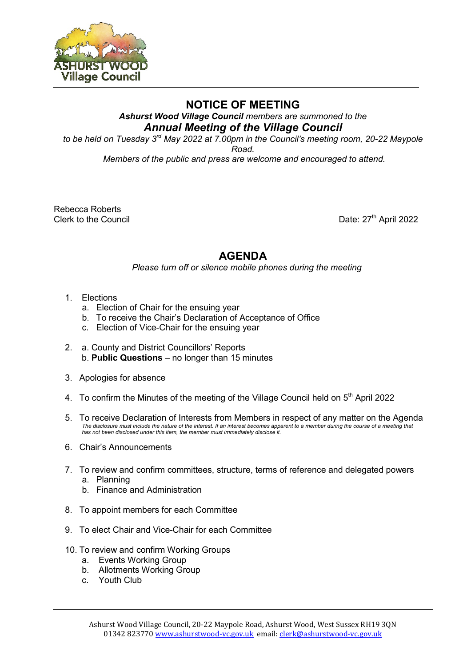

## **NOTICE OF MEETING**

*Ashurst Wood Village Council members are summoned to the Annual Meeting of the Village Council*

*to be held on Tuesday 3 rd May 2022 at 7.00pm in the Council's meeting room, 20-22 Maypole Road.* 

*Members of the public and press are welcome and encouraged to attend.*

Rebecca Roberts Clerk to the Council

Date:  $27<sup>th</sup>$  April 2022

## **AGENDA**

*Please turn off or silence mobile phones during the meeting* 

- 1. Elections
	- a. Election of Chair for the ensuing year
	- b. To receive the Chair's Declaration of Acceptance of Office
	- c. Election of Vice-Chair for the ensuing year
- 2. a. County and District Councillors' Reports b. **Public Questions** – no longer than 15 minutes
- 3. Apologies for absence
- 4.  $\,$  To confirm the Minutes of the meeting of the Village Council held on  $5^{\text{th}}$  April 2022
- 5. To receive Declaration of Interests from Members in respect of any matter on the Agenda *The disclosure must include the nature of the interest. If an interest becomes apparent to a member during the course of a meeting that has not been disclosed under this item, the member must immediately disclose it.*
- 6. Chair's Announcements
- 7. To review and confirm committees, structure, terms of reference and delegated powers
	- a. Planning
	- b. Finance and Administration
- 8. To appoint members for each Committee
- 9. To elect Chair and Vice-Chair for each Committee
- 10. To review and confirm Working Groups
	- a. Events Working Group
	- b. Allotments Working Group
	- c. Youth Club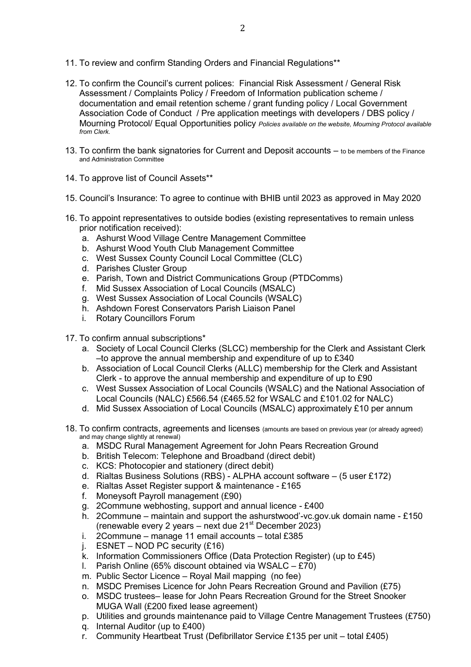- 11. To review and confirm Standing Orders and Financial Regulations\*\*
- 12. To confirm the Council's current polices: Financial Risk Assessment / General Risk Assessment / Complaints Policy / Freedom of Information publication scheme / documentation and email retention scheme / grant funding policy / Local Government Association Code of Conduct / Pre application meetings with developers / DBS policy / Mourning Protocol/ Equal Opportunities policy *Policies available on the website, Mourning Protocol available from Clerk.*
- 13. To confirm the bank signatories for Current and Deposit accounts to be members of the Finance and Administration Committee
- 14. To approve list of Council Assets\*\*
- 15. Council's Insurance: To agree to continue with BHIB until 2023 as approved in May 2020
- 16. To appoint representatives to outside bodies (existing representatives to remain unless prior notification received):
	- a. Ashurst Wood Village Centre Management Committee
	- b. Ashurst Wood Youth Club Management Committee
	- c. West Sussex County Council Local Committee (CLC)
	- d. Parishes Cluster Group
	- e. Parish, Town and District Communications Group (PTDComms)
	- f. Mid Sussex Association of Local Councils (MSALC)
	- g. West Sussex Association of Local Councils (WSALC)
	- h. Ashdown Forest Conservators Parish Liaison Panel
	- i. Rotary Councillors Forum
- 17. To confirm annual subscriptions\*
	- a. Society of Local Council Clerks (SLCC) membership for the Clerk and Assistant Clerk –to approve the annual membership and expenditure of up to £340
	- b. Association of Local Council Clerks (ALLC) membership for the Clerk and Assistant Clerk - to approve the annual membership and expenditure of up to £90
	- c. West Sussex Association of Local Councils (WSALC) and the National Association of Local Councils (NALC) £566.54 (£465.52 for WSALC and £101.02 for NALC)
	- d. Mid Sussex Association of Local Councils (MSALC) approximately £10 per annum
- 18. To confirm contracts, agreements and licenses (amounts are based on previous year (or already agreed) and may change slightly at renewal)
	- a. MSDC Rural Management Agreement for John Pears Recreation Ground
	- b. British Telecom: Telephone and Broadband (direct debit)
	- c. KCS: Photocopier and stationery (direct debit)
	- d. Rialtas Business Solutions (RBS) ALPHA account software (5 user £172)
	- e. Rialtas Asset Register support & maintenance £165
	- f. Moneysoft Payroll management (£90)
	- g. 2Commune webhosting, support and annual licence £400
	- h. 2Commune maintain and support the ashurstwood'-vc.gov.uk domain name £150 (renewable every 2 years – next due  $21<sup>st</sup>$  December 2023)
	- i.  $2$  Commune manage 11 email accounts total £385
	- j. ESNET NOD PC security (£16)
	- k. Information Commissioners Office (Data Protection Register) (up to £45)
	- I. Parish Online (65% discount obtained via WSALC  $E70$ )
	- m. Public Sector Licence Royal Mail mapping (no fee)
	- n. MSDC Premises Licence for John Pears Recreation Ground and Pavilion (£75)
	- o. MSDC trustees– lease for John Pears Recreation Ground for the Street Snooker MUGA Wall (£200 fixed lease agreement)
	- p. Utilities and grounds maintenance paid to Village Centre Management Trustees (£750)
	- q. Internal Auditor (up to £400)
	- r. Community Heartbeat Trust (Defibrillator Service £135 per unit total £405)